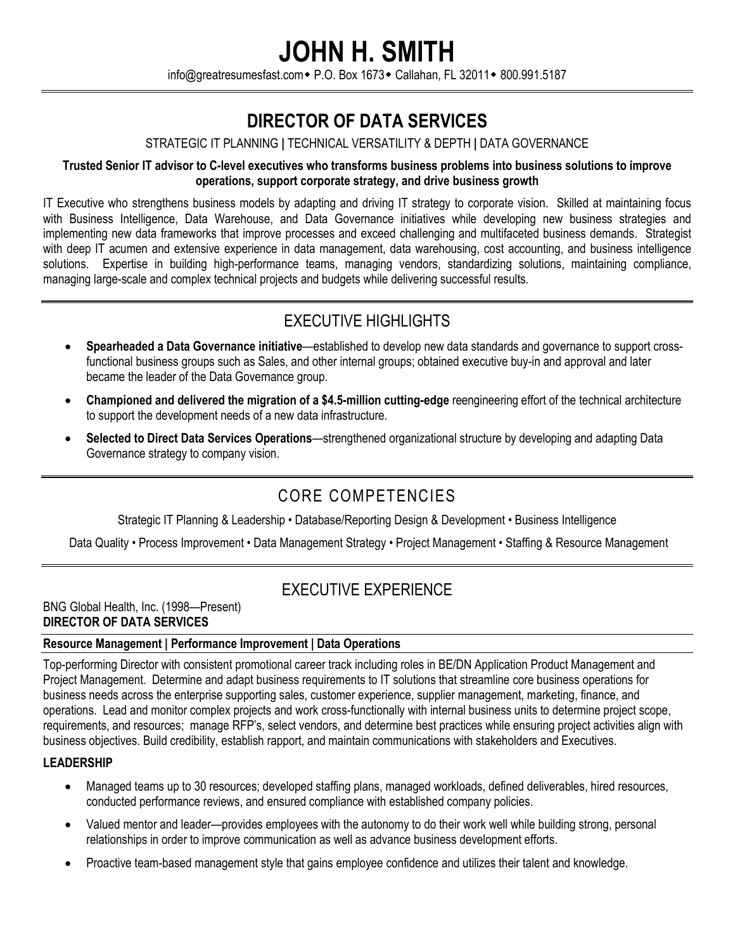## **JOHN H. SMITH**

info@greatresumesfast.com • P.O. Box 1673 • Callahan, FL 32011 • 800.991.5187

## **DIRECTOR OF DATA SERVICES**

#### STRATEGIC IT PLANNING **|** TECHNICAL VERSATILITY & DEPTH **|** DATA GOVERNANCE

#### **Trusted Senior IT advisor to C-level executives who transforms business problems into business solutions to improve operations, support corporate strategy, and drive business growth**

IT Executive who strengthens business models by adapting and driving IT strategy to corporate vision. Skilled at maintaining focus with Business Intelligence, Data Warehouse, and Data Governance initiatives while developing new business strategies and implementing new data frameworks that improve processes and exceed challenging and multifaceted business demands. Strategist with deep IT acumen and extensive experience in data management, data warehousing, cost accounting, and business intelligence solutions. Expertise in building high-performance teams, managing vendors, standardizing solutions, maintaining compliance, managing large-scale and complex technical projects and budgets while delivering successful results.

## EXECUTIVE HIGHLIGHTS

- **Spearheaded a Data Governance initiative**—established to develop new data standards and governance to support crossfunctional business groups such as Sales, and other internal groups; obtained executive buy-in and approval and later became the leader of the Data Governance group.
- **Championed and delivered the migration of a \$4.5-million cutting-edge** reengineering effort of the technical architecture to support the development needs of a new data infrastructure.
- **Selected to Direct Data Services Operations**—strengthened organizational structure by developing and adapting Data Governance strategy to company vision.

## CORE COMPETENCIES

Strategic IT Planning & Leadership • Database/Reporting Design & Development • Business Intelligence

Data Quality • Process Improvement • Data Management Strategy • Project Management • Staffing & Resource Management

### EXECUTIVE EXPERIENCE

BNG Global Health, Inc. (1998—Present) **DIRECTOR OF DATA SERVICES** 

#### **Resource Management | Performance Improvement | Data Operations**

Top-performing Director with consistent promotional career track including roles in BE/DN Application Product Management and Project Management. Determine and adapt business requirements to IT solutions that streamline core business operations for business needs across the enterprise supporting sales, customer experience, supplier management, marketing, finance, and operations. Lead and monitor complex projects and work cross-functionally with internal business units to determine project scope, requirements, and resources; manage RFP's, select vendors, and determine best practices while ensuring project activities align with business objectives. Build credibility, establish rapport, and maintain communications with stakeholders and Executives.

#### **LEADERSHIP**

- Managed teams up to 30 resources; developed staffing plans, managed workloads, defined deliverables, hired resources, conducted performance reviews, and ensured compliance with established company policies.
- Valued mentor and leader—provides employees with the autonomy to do their work well while building strong, personal relationships in order to improve communication as well as advance business development efforts.
- Proactive team-based management style that gains employee confidence and utilizes their talent and knowledge.